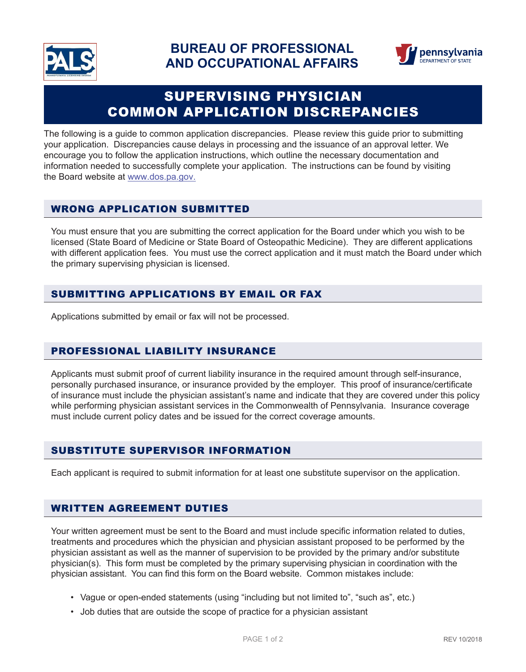



# SUPERVISING PHYSICIAN COMMON APPLICATION DISCREPANCIES

The following is a guide to common application discrepancies. Please review this guide prior to submitting your application. Discrepancies cause delays in processing and the issuance of an approval letter. We encourage you to follow the application instructions, which outline the necessary documentation and information needed to successfully complete your application. The instructions can be found by visiting the Board website at www.dos.pa.gov.

# WRONG APPLICATION SUBMITTED

You must ensure that you are submitting the correct application for the Board under which you wish to be licensed (State Board of Medicine or State Board of Osteopathic Medicine). They are different applications with different application fees. You must use the correct application and it must match the Board under which the primary supervising physician is licensed.

# SUBMITTING APPLICATIONS BY EMAIL OR FAX

Applications submitted by email or fax will not be processed.

# PROFESSIONAL LIABILITY INSURANCE

Applicants must submit proof of current liability insurance in the required amount through self-insurance, personally purchased insurance, or insurance provided by the employer. This proof of insurance/certificate of insurance must include the physician assistant's name and indicate that they are covered under this policy while performing physician assistant services in the Commonwealth of Pennsylvania. Insurance coverage must include current policy dates and be issued for the correct coverage amounts.

# SUBSTITUTE SUPERVISOR INFORMATION

Each applicant is required to submit information for at least one substitute supervisor on the application.

# WRITTEN AGREEMENT DUTIES

Your written agreement must be sent to the Board and must include specific information related to duties, treatments and procedures which the physician and physician assistant proposed to be performed by the physician assistant as well as the manner of supervision to be provided by the primary and/or substitute physician(s). This form must be completed by the primary supervising physician in coordination with the physician assistant. You can find this form on the Board website. Common mistakes include:

- Vague or open-ended statements (using "including but not limited to", "such as", etc.)
- Job duties that are outside the scope of practice for a physician assistant